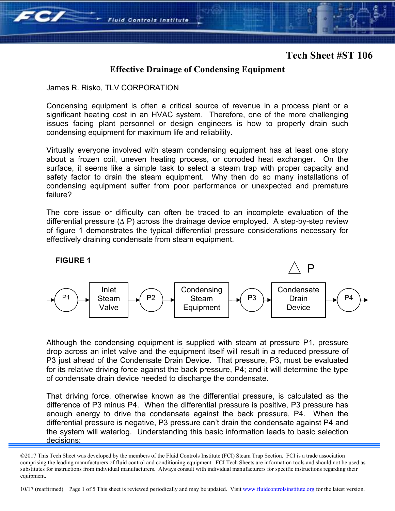## **Effective Drainage of Condensing Equipment**

James R. Risko, TLV CORPORATION

**Fluid Controls Institute** 

Condensing equipment is often a critical source of revenue in a process plant or a significant heating cost in an HVAC system. Therefore, one of the more challenging issues facing plant personnel or design engineers is how to properly drain such condensing equipment for maximum life and reliability.

Virtually everyone involved with steam condensing equipment has at least one story about a frozen coil, uneven heating process, or corroded heat exchanger. On the surface, it seems like a simple task to select a steam trap with proper capacity and safety factor to drain the steam equipment. Why then do so many installations of condensing equipment suffer from poor performance or unexpected and premature failure?

The core issue or difficulty can often be traced to an incomplete evaluation of the differential pressure (∆ P) across the drainage device employed. A step-by-step review of figure 1 demonstrates the typical differential pressure considerations necessary for effectively draining condensate from steam equipment.



Although the condensing equipment is supplied with steam at pressure P1, pressure drop across an inlet valve and the equipment itself will result in a reduced pressure of P3 just ahead of the Condensate Drain Device. That pressure, P3, must be evaluated for its relative driving force against the back pressure, P4; and it will determine the type of condensate drain device needed to discharge the condensate.

That driving force, otherwise known as the differential pressure, is calculated as the difference of P3 minus P4. When the differential pressure is positive, P3 pressure has enough energy to drive the condensate against the back pressure, P4. When the differential pressure is negative, P3 pressure can't drain the condensate against P4 and the system will waterlog. Understanding this basic information leads to basic selection decisions:

10/17 (reaffirmed) Page 1 of 5 This sheet is reviewed periodically and may be updated. Visit www.fluidcontrolsinstitute.org for the latest version.

<sup>©2017</sup> This Tech Sheet was developed by the members of the Fluid Controls Institute (FCI) Steam Trap Section. FCI is a trade association comprising the leading manufacturers of fluid control and conditioning equipment. FCI Tech Sheets are information tools and should not be used as substitutes for instructions from individual manufacturers. Always consult with individual manufacturers for specific instructions regarding their equipment.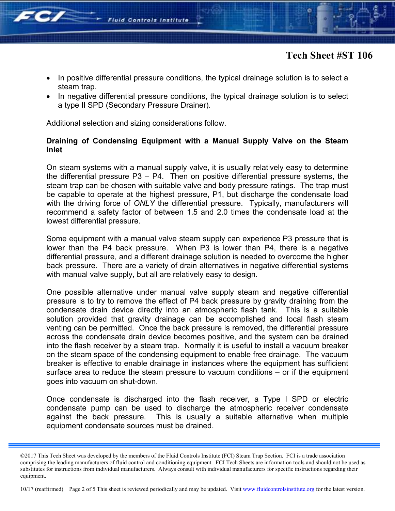

- In positive differential pressure conditions, the typical drainage solution is to select a steam trap.
- In negative differential pressure conditions, the typical drainage solution is to select a type II SPD (Secondary Pressure Drainer).

Additional selection and sizing considerations follow.

### **Draining of Condensing Equipment with a Manual Supply Valve on the Steam Inlet**

On steam systems with a manual supply valve, it is usually relatively easy to determine the differential pressure P3 – P4. Then on positive differential pressure systems, the steam trap can be chosen with suitable valve and body pressure ratings. The trap must be capable to operate at the highest pressure, P1, but discharge the condensate load with the driving force of *ONLY* the differential pressure. Typically, manufacturers will recommend a safety factor of between 1.5 and 2.0 times the condensate load at the lowest differential pressure.

Some equipment with a manual valve steam supply can experience P3 pressure that is lower than the P4 back pressure. When P3 is lower than P4, there is a negative differential pressure, and a different drainage solution is needed to overcome the higher back pressure. There are a variety of drain alternatives in negative differential systems with manual valve supply, but all are relatively easy to design.

One possible alternative under manual valve supply steam and negative differential pressure is to try to remove the effect of P4 back pressure by gravity draining from the condensate drain device directly into an atmospheric flash tank. This is a suitable solution provided that gravity drainage can be accomplished and local flash steam venting can be permitted. Once the back pressure is removed, the differential pressure across the condensate drain device becomes positive, and the system can be drained into the flash receiver by a steam trap. Normally it is useful to install a vacuum breaker on the steam space of the condensing equipment to enable free drainage. The vacuum breaker is effective to enable drainage in instances where the equipment has sufficient surface area to reduce the steam pressure to vacuum conditions – or if the equipment goes into vacuum on shut-down.

Once condensate is discharged into the flash receiver, a Type I SPD or electric condensate pump can be used to discharge the atmospheric receiver condensate against the back pressure. This is usually a suitable alternative when multiple equipment condensate sources must be drained.

10/17 (reaffirmed) Page 2 of 5 This sheet is reviewed periodically and may be updated. Visit www.fluidcontrolsinstitute.org for the latest version.

<sup>©2017</sup> This Tech Sheet was developed by the members of the Fluid Controls Institute (FCI) Steam Trap Section. FCI is a trade association comprising the leading manufacturers of fluid control and conditioning equipment. FCI Tech Sheets are information tools and should not be used as substitutes for instructions from individual manufacturers. Always consult with individual manufacturers for specific instructions regarding their equipment.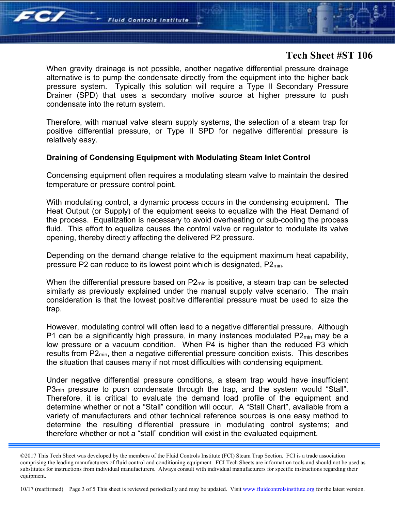

When gravity drainage is not possible, another negative differential pressure drainage alternative is to pump the condensate directly from the equipment into the higher back pressure system. Typically this solution will require a Type II Secondary Pressure Drainer (SPD) that uses a secondary motive source at higher pressure to push condensate into the return system.

Therefore, with manual valve steam supply systems, the selection of a steam trap for positive differential pressure, or Type II SPD for negative differential pressure is relatively easy.

#### **Draining of Condensing Equipment with Modulating Steam Inlet Control**

Condensing equipment often requires a modulating steam valve to maintain the desired temperature or pressure control point.

With modulating control, a dynamic process occurs in the condensing equipment. The Heat Output (or Supply) of the equipment seeks to equalize with the Heat Demand of the process. Equalization is necessary to avoid overheating or sub-cooling the process fluid. This effort to equalize causes the control valve or regulator to modulate its valve opening, thereby directly affecting the delivered P2 pressure.

Depending on the demand change relative to the equipment maximum heat capability, pressure P2 can reduce to its lowest point which is designated, P2min.

When the differential pressure based on  $P2_{min}$  is positive, a steam trap can be selected similarly as previously explained under the manual supply valve scenario. The main consideration is that the lowest positive differential pressure must be used to size the trap.

However, modulating control will often lead to a negative differential pressure. Although P1 can be a significantly high pressure, in many instances modulated  $P2_{min}$  may be a low pressure or a vacuum condition. When P4 is higher than the reduced P3 which results from P2min, then a negative differential pressure condition exists. This describes the situation that causes many if not most difficulties with condensing equipment.

Under negative differential pressure conditions, a steam trap would have insufficient P3<sub>min</sub> pressure to push condensate through the trap, and the system would "Stall". Therefore, it is critical to evaluate the demand load profile of the equipment and determine whether or not a "Stall" condition will occur. A "Stall Chart", available from a variety of manufacturers and other technical reference sources is one easy method to determine the resulting differential pressure in modulating control systems; and therefore whether or not a "stall" condition will exist in the evaluated equipment.

10/17 (reaffirmed) Page 3 of 5 This sheet is reviewed periodically and may be updated. Visit www.fluidcontrolsinstitute.org for the latest version.

<sup>©2017</sup> This Tech Sheet was developed by the members of the Fluid Controls Institute (FCI) Steam Trap Section. FCI is a trade association comprising the leading manufacturers of fluid control and conditioning equipment. FCI Tech Sheets are information tools and should not be used as substitutes for instructions from individual manufacturers. Always consult with individual manufacturers for specific instructions regarding their equipment.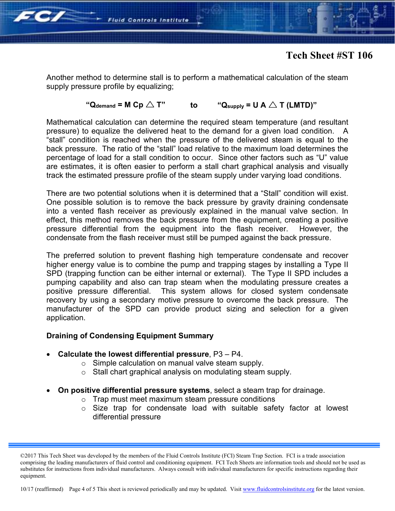

Another method to determine stall is to perform a mathematical calculation of the steam supply pressure profile by equalizing;

### " $Q_{\text{demand}} = M Cp \triangle T$ " **to** " $Q_{\text{supply}} = U A \triangle T (LMTD)$ "

Mathematical calculation can determine the required steam temperature (and resultant pressure) to equalize the delivered heat to the demand for a given load condition. A "stall" condition is reached when the pressure of the delivered steam is equal to the back pressure. The ratio of the "stall" load relative to the maximum load determines the percentage of load for a stall condition to occur. Since other factors such as "U" value are estimates, it is often easier to perform a stall chart graphical analysis and visually track the estimated pressure profile of the steam supply under varying load conditions.

There are two potential solutions when it is determined that a "Stall" condition will exist. One possible solution is to remove the back pressure by gravity draining condensate into a vented flash receiver as previously explained in the manual valve section. In effect, this method removes the back pressure from the equipment, creating a positive pressure differential from the equipment into the flash receiver. However, the condensate from the flash receiver must still be pumped against the back pressure.

The preferred solution to prevent flashing high temperature condensate and recover higher energy value is to combine the pump and trapping stages by installing a Type II SPD (trapping function can be either internal or external). The Type II SPD includes a pumping capability and also can trap steam when the modulating pressure creates a positive pressure differential. This system allows for closed system condensate recovery by using a secondary motive pressure to overcome the back pressure. The manufacturer of the SPD can provide product sizing and selection for a given application.

### **Draining of Condensing Equipment Summary**

- **Calculate the lowest differential pressure**, P3 P4.
	- o Simple calculation on manual valve steam supply.
	- o Stall chart graphical analysis on modulating steam supply.
- **On positive differential pressure systems**, select a steam trap for drainage.
	- o Trap must meet maximum steam pressure conditions
	- o Size trap for condensate load with suitable safety factor at lowest differential pressure

10/17 (reaffirmed) Page 4 of 5 This sheet is reviewed periodically and may be updated. Visit www.fluidcontrolsinstitute.org for the latest version.

<sup>©2017</sup> This Tech Sheet was developed by the members of the Fluid Controls Institute (FCI) Steam Trap Section. FCI is a trade association comprising the leading manufacturers of fluid control and conditioning equipment. FCI Tech Sheets are information tools and should not be used as substitutes for instructions from individual manufacturers. Always consult with individual manufacturers for specific instructions regarding their equipment.